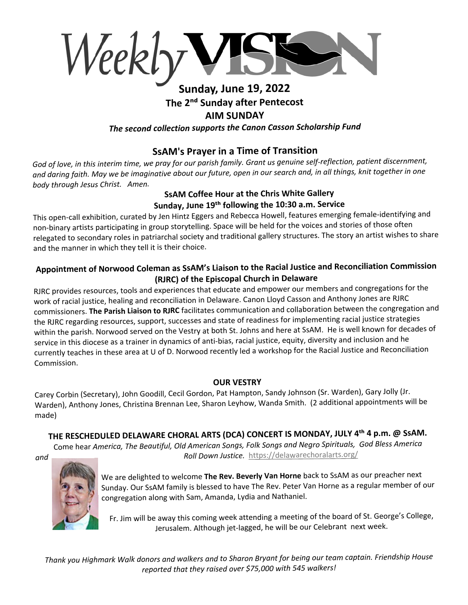Weekly

# **Sunday, June 19, 2022 The 2ⁿ� Sunday after Pentecost AIM SUNDAY** *The second collection supports the Canon Casson Scholarship Fund*

# **SsAM's Prayer in a Time of Transition**

*God of love, in this interim time, we pray for our parish family. Grant us genuine self-reflection, patient discernment, and daring faith. May we be imaginative about our future, open in our search and, in all things, knit together in one body through Jesus Christ. Amen.*

#### **SsAM Coffee Hour at the Chris White Gallery Sunday, June 19�� following the 10:30 a.m. Service**

This open-call exhibition, curated by Jen Hintz Eggers and Rebecca Howell, features emerging female-identifying and non-binary artists participating in group storytelling. Space will be held for the voices and stories of those often relegated to secondary roles in patriarchal society and traditional gallery structures. The story an artist wishes to share and the manner in which they tell it is their choice.

## **Appointment of Norwood Coleman as SsAM's Liaison to the Racial Justice and Reconciliation Commission (RJRC) of the Episcopal Church in Delaware**

RJRC provides resources, tools and experiences that educate and empower our members and congregations for the work of racial justice, healing and reconciliation in Delaware. Canon Lloyd Casson and Anthony Jones are RJRC commissioners. **The Parish Liaison to RJRC** facilitates communication and collaboration between the congregation and the RJRC regarding resources, support, successes and state of readiness for implementing racial justice strategies within the parish. Norwood served on the Vestry at both St. Johns and here at SsAM. He is well known for decades of service in this diocese as a trainer in dynamics of anti-bias, racial justice, equity, diversity and inclusion and he currently teaches in these area at U of D. Norwood recently led a workshop for the Racial Justice and Reconciliation Commission.

#### **OUR VESTRY**

Carey Corbin (Secretary), John Goodill, Cecil Gordon, Pat Hampton, Sandy Johnson (Sr. Warden), Gary Jolly (Jr. Warden), Anthony Jones, Christina Brennan Lee, Sharon Leyhow, Wanda Smith. (2 additional appointments will be made)

# **THE RESCHEDULED DELAWARE CHORAL ARTS (DCA) CONCERT IS MONDAY, JULY 4�� 4 p.m. @ SsAM.**

Come hear *America, The Beautiful, Old American Songs, Folk Songs and Negro Spirituals, God Bless America and Roll Down Justice.* https://delawarechoralarts.org/



We are delighted to welcome **The Rev. Beverly Van Horne** back to SsAM as our preacher next Sunday. Our SsAM family is blessed to have The Rev. Peter Van Horne as a regular member of our congregation along with Sam, Amanda, Lydia and Nathaniel.

Fr. Jim will be away this coming week attending a meeting of the board of St. George's College, Jerusalem. Although jet-lagged, he will be our Celebrant next week.

*Thank you Highmark Walk donors and walkers and to Sharon Bryant for being our team captain. Friendship House reported that they raised over \$75,000 with 545 walkers!*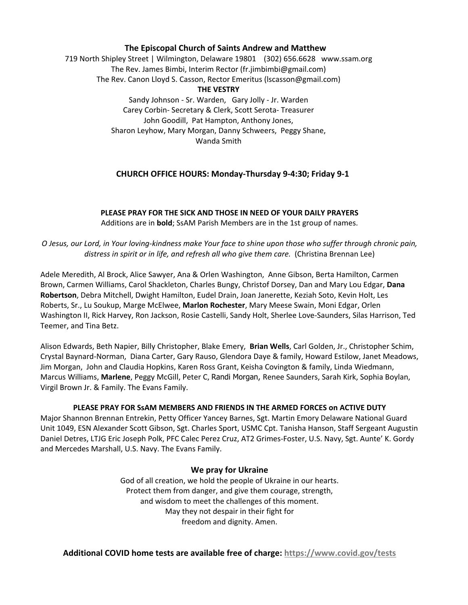#### **The Episcopal Church of Saints Andrew and Matthew**

719 North Shipley Street | Wilmington, Delaware 19801 (302) 656.6628 www.ssam.org The Rev. James Bimbi, Interim Rector (fr.jimbimbi@gmail.com) The Rev. Canon Lloyd S. Casson, Rector Emeritus (lscasson@gmail.com) **THE VESTRY** Sandy Johnson - Sr. Warden, Gary Jolly - Jr. Warden Carey Corbin- Secretary & Clerk, Scott Serota- Treasurer John Goodill, Pat Hampton, Anthony Jones,

Sharon Leyhow, Mary Morgan, Danny Schweers, Peggy Shane, Wanda Smith

#### **CHURCH OFFICE HOURS: Monday-Thursday 9-4:30; Friday 9-1**

**PLEASE PRAY FOR THE SICK AND THOSE IN NEED OF YOUR DAILY PRAYERS** Additions are in **bold**; SsAM Parish Members are in the 1st group of names.

*O Jesus, our Lord, in Your loving-kindness make Your face to shine upon those who suffer through chronic pain, distress in spirit or in life, and refresh all who give them care.* (Christina Brennan Lee)

Adele Meredith, Al Brock, Alice Sawyer, Ana & Orlen Washington, Anne Gibson, Berta Hamilton, Carmen Brown, Carmen Williams, Carol Shackleton, Charles Bungy, Christof Dorsey, Dan and Mary Lou Edgar, **Dana Robertson**, Debra Mitchell, Dwight Hamilton, Eudel Drain, Joan Janerette, Keziah Soto, Kevin Holt, Les Roberts, Sr., Lu Soukup, Marge McElwee, **Marlon Rochester**, Mary Meese Swain, Moni Edgar, Orlen Washington II, Rick Harvey, Ron Jackson, Rosie Castelli, Sandy Holt, Sherlee Love-Saunders, Silas Harrison, Ted Teemer, and Tina Betz.

Alison Edwards, Beth Napier, Billy Christopher, Blake Emery, **Brian Wells**, Carl Golden, Jr., Christopher Schim, Crystal Baynard-Norman, Diana Carter, Gary Rauso, Glendora Daye & family, Howard Estilow, Janet Meadows, Jim Morgan, John and Claudia Hopkins, Karen Ross Grant, Keisha Covington & family, Linda Wiedmann, Marcus Williams, **Marlene**, Peggy McGill, Peter C, Randi Morgan, Renee Saunders, Sarah Kirk, Sophia Boylan, Virgil Brown Jr. & Family. The Evans Family.

#### **PLEASE PRAY FOR SsAM MEMBERS AND FRIENDS IN THE ARMED FORCES on ACTIVE DUTY**

Major Shannon Brennan Entrekin, Petty Officer Yancey Barnes, Sgt. Martin Emory Delaware National Guard Unit 1049, ESN Alexander Scott Gibson, Sgt. Charles Sport, USMC Cpt. Tanisha Hanson, Staff Sergeant Augustin Daniel Detres, LTJG Eric Joseph Polk, PFC Calec Perez Cruz, AT2 Grimes-Foster, U.S. Navy, Sgt. Aunte' K. Gordy and Mercedes Marshall, U.S. Navy. The Evans Family.

#### **We pray for Ukraine**

God of all creation, we hold the people of Ukraine in our hearts. Protect them from danger, and give them courage, strength, and wisdom to meet the challenges of this moment. May they not despair in their fight for freedom and dignity. Amen.

**Additional COVID home tests are available free of charge: https://www.covid.gov/tests**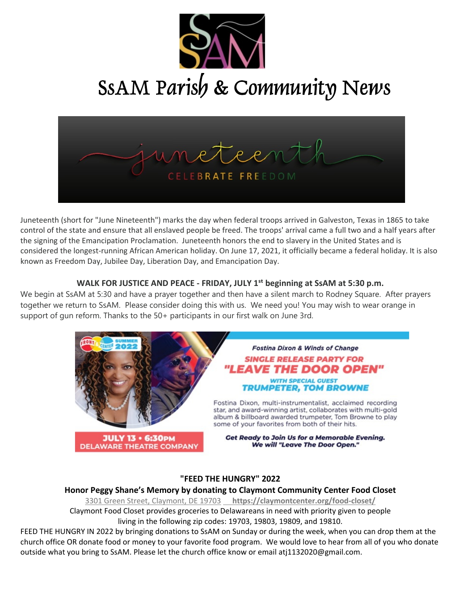

SSAM Parish & Community News



Juneteenth (short for "June Nineteenth") marks the day when federal troops arrived in Galveston, Texas in 1865 to take control of the state and ensure that all enslaved people be freed. The troops' arrival came a full two and a half years after the signing of the Emancipation Proclamation. Juneteenth honors the end to slavery in the United States and is considered the longest-running African American holiday. On June 17, 2021, it officially became a federal holiday. It is also known as Freedom Day, Jubilee Day, Liberation Day, and Emancipation Day.

#### **WALK FOR JUSTICE AND PEACE - FRIDAY, JULY 1�� beginning at SsAM at 5:30 p.m.**

We begin at SsAM at 5:30 and have a prayer together and then have a silent march to Rodney Square. After prayers together we return to SsAM. Please consider doing this with us. We need you! You may wish to wear orange in support of gun reform. Thanks to the 50+ participants in our first walk on June 3rd.



### **"FEED THE HUNGRY" 2022**

#### **Honor Peggy Shane's Memory by donating to Claymont Community Center Food Closet**

3301 Green Street, Claymont, DE 19703 **https://claymontcenter.org/food-closet/** Claymont Food Closet provides groceries to Delawareans in need with priority given to people living in the following zip codes: 19703, 19803, 19809, and 19810.

FEED THE HUNGRY IN 2022 by bringing donations to SsAM on Sunday or during the week, when you can drop them at the church office OR donate food or money to your favorite food program. We would love to hear from all of you who donate outside what you bring to SsAM. Please let the church office know or email atj1132020@gmail.com.